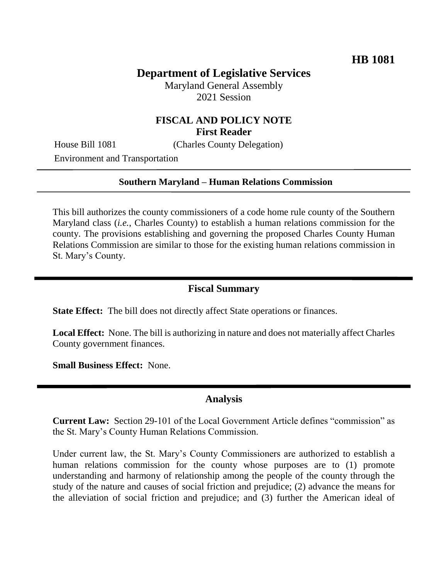# **Department of Legislative Services**

Maryland General Assembly 2021 Session

## **FISCAL AND POLICY NOTE First Reader**

House Bill 1081 (Charles County Delegation)

Environment and Transportation

#### **Southern Maryland – Human Relations Commission**

This bill authorizes the county commissioners of a code home rule county of the Southern Maryland class (*i.e.*, Charles County) to establish a human relations commission for the county. The provisions establishing and governing the proposed Charles County Human Relations Commission are similar to those for the existing human relations commission in St. Mary's County.

#### **Fiscal Summary**

**State Effect:** The bill does not directly affect State operations or finances.

**Local Effect:** None. The bill is authorizing in nature and does not materially affect Charles County government finances.

**Small Business Effect:** None.

## **Analysis**

**Current Law:** Section 29-101 of the Local Government Article defines "commission" as the St. Mary's County Human Relations Commission.

Under current law, the St. Mary's County Commissioners are authorized to establish a human relations commission for the county whose purposes are to (1) promote understanding and harmony of relationship among the people of the county through the study of the nature and causes of social friction and prejudice; (2) advance the means for the alleviation of social friction and prejudice; and (3) further the American ideal of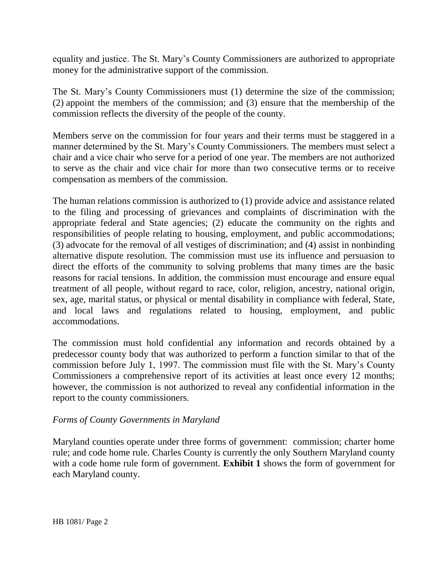equality and justice. The St. Mary's County Commissioners are authorized to appropriate money for the administrative support of the commission.

The St. Mary's County Commissioners must (1) determine the size of the commission; (2) appoint the members of the commission; and (3) ensure that the membership of the commission reflects the diversity of the people of the county.

Members serve on the commission for four years and their terms must be staggered in a manner determined by the St. Mary's County Commissioners. The members must select a chair and a vice chair who serve for a period of one year. The members are not authorized to serve as the chair and vice chair for more than two consecutive terms or to receive compensation as members of the commission.

The human relations commission is authorized to (1) provide advice and assistance related to the filing and processing of grievances and complaints of discrimination with the appropriate federal and State agencies; (2) educate the community on the rights and responsibilities of people relating to housing, employment, and public accommodations; (3) advocate for the removal of all vestiges of discrimination; and (4) assist in nonbinding alternative dispute resolution. The commission must use its influence and persuasion to direct the efforts of the community to solving problems that many times are the basic reasons for racial tensions. In addition, the commission must encourage and ensure equal treatment of all people, without regard to race, color, religion, ancestry, national origin, sex, age, marital status, or physical or mental disability in compliance with federal, State, and local laws and regulations related to housing, employment, and public accommodations.

The commission must hold confidential any information and records obtained by a predecessor county body that was authorized to perform a function similar to that of the commission before July 1, 1997. The commission must file with the St. Mary's County Commissioners a comprehensive report of its activities at least once every 12 months; however, the commission is not authorized to reveal any confidential information in the report to the county commissioners.

### *Forms of County Governments in Maryland*

Maryland counties operate under three forms of government: commission; charter home rule; and code home rule. Charles County is currently the only Southern Maryland county with a code home rule form of government. **Exhibit 1** shows the form of government for each Maryland county.